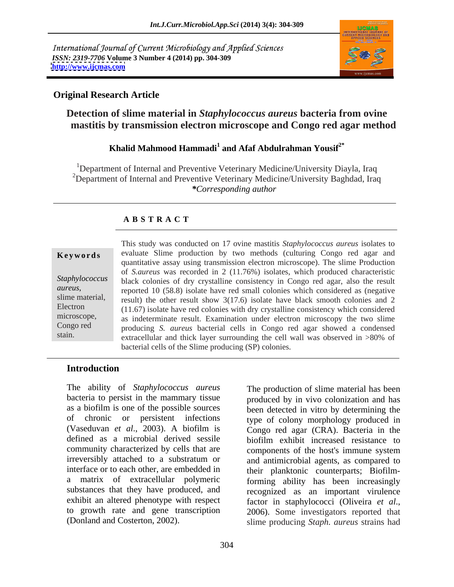International Journal of Current Microbiology and Applied Sciences *ISSN: 2319-7706* **Volume 3 Number 4 (2014) pp. 304-309 <http://www.ijcmas.com>**



## **Original Research Article**

# **Detection of slime material in** *Staphylococcus aureus* **bacteria from ovine mastitis by transmission electron microscope and Congo red agar method**

## **Khalid Mahmood Hammadi<sup>1</sup> and Afaf Abdulrahman Yousif2\***

<sup>1</sup>Department of Internal and Preventive Veterinary Medicine/University Diayla, Iraq <sup>2</sup>Department of Internal and Preventive Veterinary Medicine/University Baghdad, Iraq *\*Corresponding author* 

## **A B S T R A C T**

**Keywords** evaluate Slime production by two methods (culturing Congo red agar and Staphylococcus black colonies of dry crystalline consistency in Congo red agar, also the result *aureus,* reported 10 (58.8) isolate have red small colonieswhich considered as (negative slime material, result) the other result show  $3(17.6)$  isolate have black smooth colonies and 2 Electron (11.67) isolate have red colonies with dry crystalline consistency which considered microscope, as indeterminate result. Examination under electron microscopy the two slime Congo red producing *S. aureus* bacterial cells in Congo red agar showed a condensed stain. extracellular and thick layer surrounding the cell wall was observed in >80% of This study was conducted on 17 ovine mastitis *Staphylococcus aureus* isolates to quantitative assay using transmission electron microscope). The slime Production of *S.aureus* was recorded in 2 (11.76%) isolates, which produced characteristic bacterial cells of the Slime producing (SP) colonies.

## **Introduction**

The ability of *Staphylococcus aureus* bacteria to persist in the mammary tissue as a biofilm is one of the possible sources been detected in vitro by determining the of chronic or persistent infections type of colony morphology produced in (Vaseduvan *et al*., 2003). A biofilm is Congo red agar (CRA). Bacteria in the defined as a microbial derived sessile biofilm exhibit increased resistance to community characterized by cells that are irreversibly attached to a substratum or and antimicrobial agents, as compared to interface or to each other, are embedded in their planktonic counterparts; Biofilma matrix of extracellular polymeric forming ability has been increasingly substances that they have produced, and exhibit an altered phenotype with respect factor in staphylococci (Oliveira et al., to growth rate and gene transcription 2006). Some investigators reported that The ability of *Staphylococcus aureus* The production of slime material has been<br>bacteria to persist in the manneary tissue<br>of chronic or persistent infections type of colony morphology produced in<br>(Vaseduvan *et al.*, 20

produced by in vivo colonization and has biofilm exhibit increased resistance to components of the host's immune system recognized as an important virulence factor in staphylococci (Oliveira *et al*., 2006). Some investigators reported that slime producing *Staph. aureus* strains had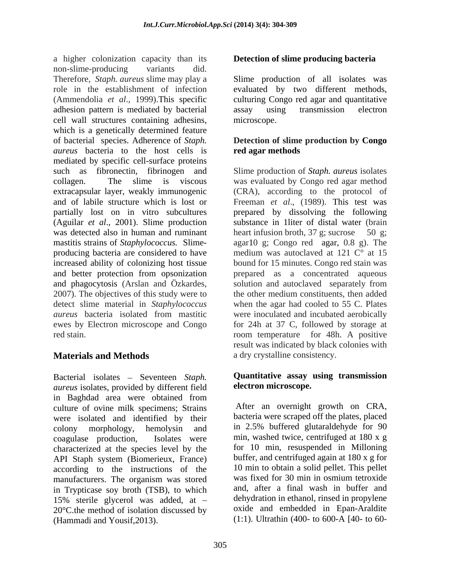a higher colonization capacity than its non-slime-producing variants did. Therefore, *Staph. aureus* slime may play a Slime production of all isolates was role in the establishment of infection evaluated by two different methods, (Ammendolia *et al*., 1999).This specific culturing Congo red agar and quantitative adhesion pattern is mediated by bacterial cell wall structures containing adhesins, which is a genetically determined feature of bacterial species. Adherence of *Staph.*  **Detection of slime production by Congo**  *aureus* bacteria to the host cells is **red agar methods** mediated by specific cell-surface proteins such as fibronectin, fibrinogen and Slime production of *Staph. aureus* isolates collagen. The slime is viscous was evaluated by Congo red agar method extracapsular layer, weakly immunogenic and of labile structure which is lost or Freeman *et al*., (1989). This test was partially lost on in vitro subcultures prepared by dissolving the following (Aguilar *et al*., 2001). Slime production was detected also in human and ruminant heart infusion broth, 37 g; sucrose 50 g; mastitis strains of *Staphylococcus.* Slime- agar10 g; Congo red agar, 0.8 g). The producing bacteria are considered to have increased ability of colonizing host tissue bound for 15 minutes. Congo red stain was and better protection from opsonization prepared as a concentrated aqueous and phagocytosis (Arslan and Özkardes, solution and autoclaved separately from 2007). The objectives of this study were to the other medium constituents, then added detect slime material in *Staphylococcus aureus* bacteria isolated from mastitic were inoculated and incubated aerobically ewes by Electron microscope and Congo for 24h at 37 C, followed by storage at

Bacterial isolates - Seventeen *Staph*. *aureus* isolates, provided by different field in Baghdad area were obtained from culture of ovine milk specimens; Strains were isolated and identified by their colony morphology, hemolysin and in 2.5% buffered glutaraldehyde for 90 coagulase production, Isolates were min, washed twice, centrifuged at 180 x g characterized at the species level by the API Staph system (Biomerieux, France) according to the instructions of the 10 min to obtain a solid pellet. This pellet manufacturers. The organism was stored was fixed for 30 min in osmium tetroxide manufacturers. The organism was stored in Trypticase soy broth (TSB), to which 15% sterile glycerol was added, at 20°C.the method of isolation discussed by (Hammadi and Yousif,2013). (1:1). Ultrathin (400- to 600-A [40- to 60-

# **Detection of slime producing bacteria**

assay using transmission electron microscope.

# **red agar methods**

red stain. room temperature for 48h. A positive **Materials and Methods** a dry crystalline consistency. (CRA), according to the protocol of substance in 1liter of distal water (brain medium was autoclaved at 121 C° at 15 the other medium constituents, then added when the agar had cooled to 55 C. Plates result was indicated by black colonies with

## **Quantitative assay using transmission electron microscope.**

After an overnight growth on CRA, bacteria were scraped off the plates, placed for 10 min, resuspended in Milloning buffer, and centrifuged again at 180 x g for 10 min to obtain a solid pellet. This pellet was fixed for 30 min in osmium tetroxide and, after a final wash in buffer and dehydration in ethanol, rinsed in propylene oxide and embedded in Epan-Araldite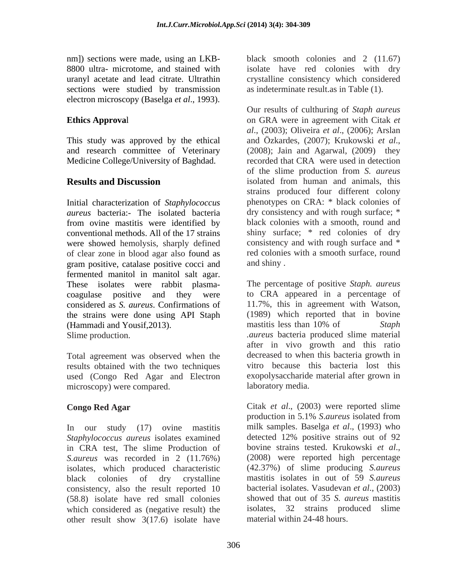sections were studied by transmission electron microscopy (Baselga *et al*., 1993).

This study was approved by the ethical and Özkardes, (2007); Krukowski et al., and research committee of Veterinary (2008); Jain and Agarwal, (2009) they Medicine College/University of Baghdad.

*aureus* bacteria:- The isolated bacteria from ovine mastitis were identified by were showed hemolysis, sharply defined of clear zone in blood agar also found as gram positive, catalase positive cocci and fermented manitol in manitol salt agar. These isolates were rabbit plasma coagulase positive and they were the strains were done using API Staph (1989) which reported the example of Hammadi and Yousif 2013) (Hammadi and Yousif, 2013). The mastic mastic search and Staph Staph

Total agreement was observed when the results obtained with the two techniques used (Congo Red Agar and Electron microscopy) were compared.

In our study (17) ovine mastitis milk samples. Baselga *et al.*, (1993) who *Staphylococcus aureus* isolates examined detected 12% positive strains out of 92 *Staphylococcus aureus* isolates examined detected 12% positive strains out of 92 in CRA test. The slime Production of bovine strains tested. Krukowski *et al.*, in CRA test, The slime Production of bovine strains tested. Krukowski *et al.*, Saureus was recorded in 2 (11.76%) (2008) were reported high percentage *S.aureus* was recorded in 2 (11.76%) isolates, which produced characteristic consistency, also the result reported 10 (58.8) isolate have red small colonies which considered as (negative result) the other result show 3(17.6) isolate have

nm]) sections were made, using an LKB- black smooth colonies and 2 (11.67) 8800 ultra- microtome, and stained with isolate have red colonies with dry uranyl acetate and lead citrate. Ultrathin crystalline consistency which considered as indeterminate result.as in Table (1).

**Ethics Approva**l on GRA were in agreement with Citak *et*  **Results and Discussion** isolated from human and animals, this Initial characterization of *Staphylococcus*  phenotypes on CRA: \* black colonies of conventional methods. All of the 17 strains shiny surface; \* red colonies of dry Our results of culthuring of *Staph aureus al*., (2003); Oliveira *et al*., (2006); Arslan and Özkardes, (2007); Krukowski *et al*., (2008); Jain and Agarwal, (2009) they recorded that CRA were used in detection of the slime production from *S. aureus* strains produced four different colony dry consistency and with rough surface; \* black colonies with a smooth, round and consistency and with rough surface and \* red colonies with a smooth surface, round and shiny .

considered as *S. aureus*. Confirmations of 11.7%, this in agreement with Watson, Slime production. *.aureus* bacteria produced slime material The percentage of positive *Staph. aureus* to CRA appeared in a percentage of (1989) which reported that in bovine mastitis less than 10% of *Staph*  after in vivo growth and this ratio decreased to when this bacteria growth in vitro because this bacteria lost this exopolysaccharide material after grown in laboratory media.

**Congo Red Agar** Citak *et al*., (2003) were reported slime black colonies of dry crystalline mastitis isolates in out of 59 *S.aureus* production in 5.1% *S*.*aureus* isolated from milk samples. Baselga *et al*., (1993) who detected 12% positive strains out of 92 bovine strains tested. Krukowski *et al*., (2008) were reported high percentage (42.37%) of slime producing *S.aureus*  bacterial isolates. Vasudevan *et al*., (2003) showed that out of 35 *S. aureus* mastitis isolates, 32 strains produced slime material within 24-48 hours.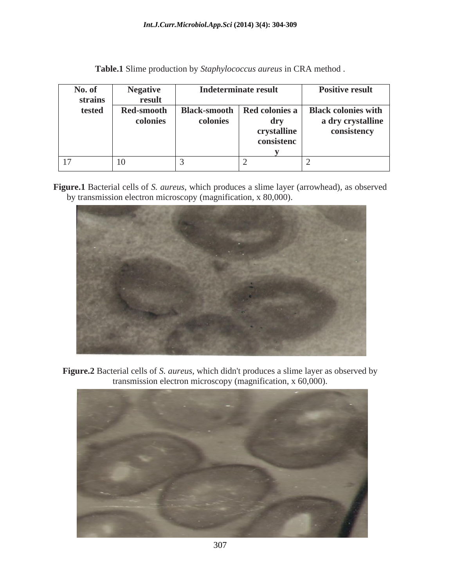| No. of        | <b>Negative</b>   | Indeterminate result |             | <b>Positive result</b>                              |
|---------------|-------------------|----------------------|-------------|-----------------------------------------------------|
| strains       | result            |                      |             |                                                     |
| tested        | <b>Red-smooth</b> |                      |             | Black-smooth   Red colonies a   Black colonies with |
|               | colonies          | colonies             | drv         | a dry crystalline                                   |
|               |                   |                      | crystalline | consistency                                         |
|               |                   |                      | consistenc  |                                                     |
|               |                   |                      |             |                                                     |
| 17<br>$\perp$ | 10                |                      |             |                                                     |

**Table.1** Slime production by *Staphylococcus aureus* in CRA method .

**Figure.1** Bacterial cells of *S. aureus*, which produces a slime layer (arrowhead), as observed by transmission electron microscopy (magnification, x 80,000).



**Figure.2** Bacterial cells of *S. aureus*, which didn't produces a slime layer as observed by transmission electron microscopy (magnification, x 60,000).

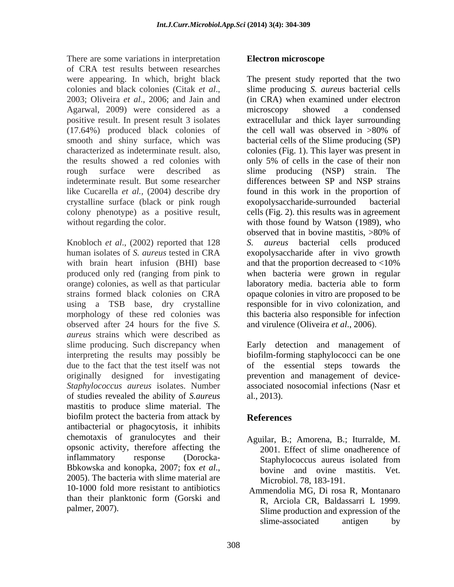There are some variations in interpretation Electron microscope of CRA test results between researches were appearing. In which, bright black Agarwal, 2009) were considered as a  $(17.64%)$  produced black colonies of the cell wall was observed in  $>80\%$  of the results showed a red colonies with only 5% of cells in the case of their non indeterminate result. But some researcher crystalline surface (black or pink rough

Knobloch *et al*., (2002) reported that 128 with brain heart infusion (BHI) base and that the proportion decreased to  $<10\%$ orange) colonies, as well as that particular observed after 24 hours for the five *S. aureus* strains which were described as slime producing. Such discrepancy when interpreting the results may possibly be biofilm-forming staphylococci can be one due to the fact that the test itself was not of the essential steps towards the originally designed for investigating prevention and management of device- *Staphylococcus aureus* isolates. Number associated nosocomial infections (Nasr et of studies revealed the ability of *S.aureus* mastitis to produce slime material. The biofilm protect the bacteria from attack by **References** antibacterial or phagocytosis, it inhibits chemotaxis of granulocytes and their opsonic activity, therefore affecting the inflammatory response (Dorocka-<br>Staphylococcus aureus isolated from Bbkowska and konopka, 2007; fox *et al*.,<br>2005). The bacteria with slime material are Microbiol 78, 183-191 10-1000 fold more resistant to antibiotics than their planktonic form (Gorski and

## **Electron microscope**

colonies and black colonies (Citak *et al*., 2003; Oliveira *et al*., 2006; and Jain and positive result. In present result 3 isolates extracellular and thick layer surrounding smooth and shiny surface, which was bacterial cells of the Slime producing (SP) characterized as indeterminate result. also, colonies (Fig. 1). This layer was present in rough surface were described as slime producing (NSP) strain. The like Cucarella *et al.,* (2004) describe dry found in this work in the proportion of colony phenotype) as a positive result, cells (Fig. 2). this results was in agreement without regarding the color.  $\qquad \qquad$  with those found by Watson (1989), who human isolates of *S. aureus* tested in CRA exopolysaccharide after in vivo growth produced only red (ranging from pink to when bacteria were grown in regular strains formed black colonies on CRA opaque colonies in vitro are proposed to be using a TSB base, dry crystalline responsible for in vivo colonization, and morphology of these red colonies was this bacteria also responsible for infection The present study reported that the two slime producing *S. aureus* bacterial cells (in CRA) when examined under electron microscopy showed a condensed the cell wall was observed in >80% of only 5% of cells in the case of their non differences between SP and NSP strains exopolysaccharide-surrounded observed that in bovine mastitis, >80% of *aureus* bacterial cells produced and that the proportion decreased to <10% laboratory media. bacteria able to form and virulence (Oliveira *et al*., 2006).

> Early detection and management of al., 2013).

# **References**

- Aguilar, B.; Amorena, B.; Iturralde, M. 2001. Effect of slime onadherence of Staphylococcus aureus isolated from bovine and ovine mastitis. Vet. Microbiol. 78, 183-191.
- palmer, 2007). Slime production and expression of the Ammendolia MG, Di rosa R, Montanaro R, Arciola CR, Baldassarri L 1999. slime-associated antigen by